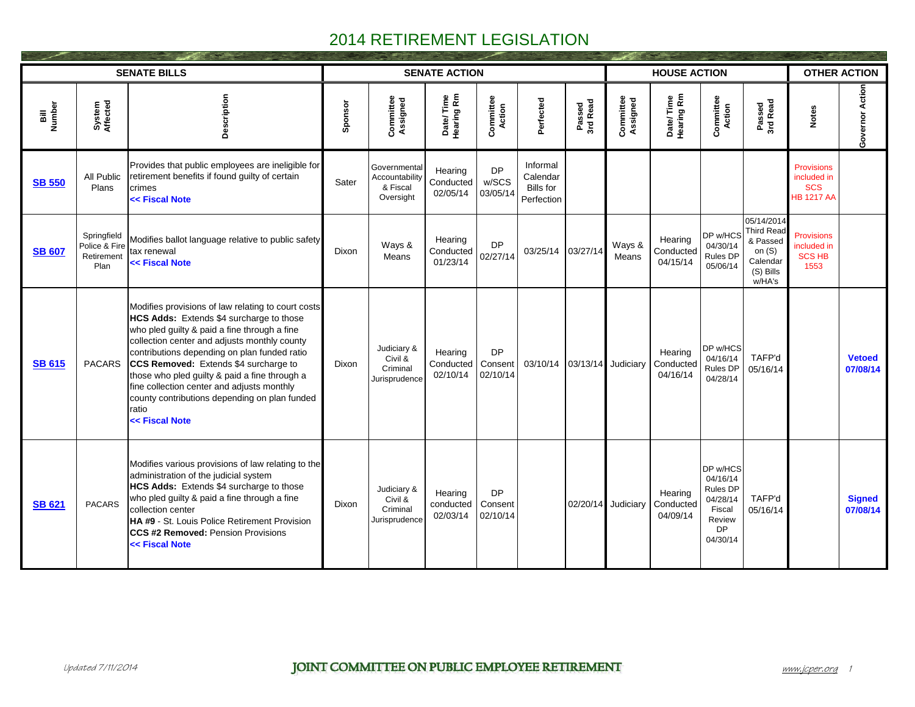|                |                                                    | <b>SENATE BILLS</b>                                                                                                                                                                                                                                                                                                                                                                                                                                                |         |                                                         | <b>SENATE ACTION</b>             |                                  |                                                 |                    |                       | <b>HOUSE ACTION</b>              |                                                                                           |                                                                                            |                                                                     | <b>OTHER ACTION</b>       |
|----------------|----------------------------------------------------|--------------------------------------------------------------------------------------------------------------------------------------------------------------------------------------------------------------------------------------------------------------------------------------------------------------------------------------------------------------------------------------------------------------------------------------------------------------------|---------|---------------------------------------------------------|----------------------------------|----------------------------------|-------------------------------------------------|--------------------|-----------------------|----------------------------------|-------------------------------------------------------------------------------------------|--------------------------------------------------------------------------------------------|---------------------------------------------------------------------|---------------------------|
| Bill<br>Number | System<br>Affected                                 | Description                                                                                                                                                                                                                                                                                                                                                                                                                                                        | Sponsor | Committee<br>Assigned                                   | Date/Time<br>Hearing Rm          | Committee<br><b>Action</b>       | Perfected                                       | Passed<br>3rd Read | Committee<br>Assigned | Date/Time<br>Hearing Rm          | Committee<br>Action                                                                       | Passed<br>3rd Read                                                                         | <b>Notes</b>                                                        | Governor Action           |
| <b>SB 550</b>  | All Public<br>Plans                                | Provides that public employees are ineligible for<br>retirement benefits if found guilty of certain<br>crimes<br><< Fiscal Note                                                                                                                                                                                                                                                                                                                                    | Sater   | Governmental<br>Accountability<br>& Fiscal<br>Oversight | Hearing<br>Conducted<br>02/05/14 | <b>DP</b><br>w/SCS<br>03/05/14   | Informal<br>Calendar<br>Bills for<br>Perfection |                    |                       |                                  |                                                                                           |                                                                                            | <b>Provisions</b><br>included in<br><b>SCS</b><br><b>HB 1217 AA</b> |                           |
| <b>SB 607</b>  | Springfield<br>Police & Fire<br>Retirement<br>Plan | Modifies ballot language relative to public safety<br>tax renewal<br><< Fiscal Note                                                                                                                                                                                                                                                                                                                                                                                | Dixon   | Ways &<br>Means                                         | Hearing<br>Conducted<br>01/23/14 | <b>DP</b><br>02/27/14            | 03/25/14                                        | 03/27/14           | Ways &<br>Means       | Hearing<br>Conducted<br>04/15/14 | DP w/HCS<br>04/30/14<br>Rules DP<br>05/06/14                                              | 05/14/2014<br><b>Third Read</b><br>& Passed<br>on $(S)$<br>Calendar<br>(S) Bills<br>w/HA's | <b>Provisions</b><br>included in<br><b>SCS HB</b><br>1553           |                           |
| <b>SB 615</b>  | <b>PACARS</b>                                      | Modifies provisions of law relating to court costs<br>HCS Adds: Extends \$4 surcharge to those<br>who pled guilty & paid a fine through a fine<br>collection center and adjusts monthly county<br>contributions depending on plan funded ratio<br>CCS Removed: Extends \$4 surcharge to<br>those who pled guilty & paid a fine through a<br>fine collection center and adjusts monthly<br>county contributions depending on plan funded<br>ratio<br><< Fiscal Note | Dixon   | Judiciary &<br>Civil &<br>Criminal<br>Jurisprudence     | Hearing<br>Conducted<br>02/10/14 | <b>DP</b><br>Consent<br>02/10/14 | 03/10/14                                        |                    | 03/13/14 Judiciary    | Hearing<br>Conducted<br>04/16/14 | DP w/HCS<br>04/16/14<br>Rules DP<br>04/28/14                                              | TAFP'd<br>05/16/14                                                                         |                                                                     | <b>Vetoed</b><br>07/08/14 |
| <b>SB 621</b>  | <b>PACARS</b>                                      | Modifies various provisions of law relating to the<br>administration of the judicial system<br>HCS Adds: Extends \$4 surcharge to those<br>who pled guilty & paid a fine through a fine<br>collection center<br><b>HA #9 - St. Louis Police Retirement Provision</b><br><b>CCS #2 Removed: Pension Provisions</b><br><< Fiscal Note                                                                                                                                | Dixon   | Judiciary &<br>Civil &<br>Criminal<br>Jurisprudence     | Hearing<br>conducted<br>02/03/14 | <b>DP</b><br>Consent<br>02/10/14 |                                                 | 02/20/14           | Judiciary             | Hearing<br>Conducted<br>04/09/14 | DP w/HCS<br>04/16/14<br>Rules DP<br>04/28/14<br>Fiscal<br>Review<br><b>DP</b><br>04/30/14 | TAFP'd<br>05/16/14                                                                         |                                                                     | <b>Signed</b><br>07/08/14 |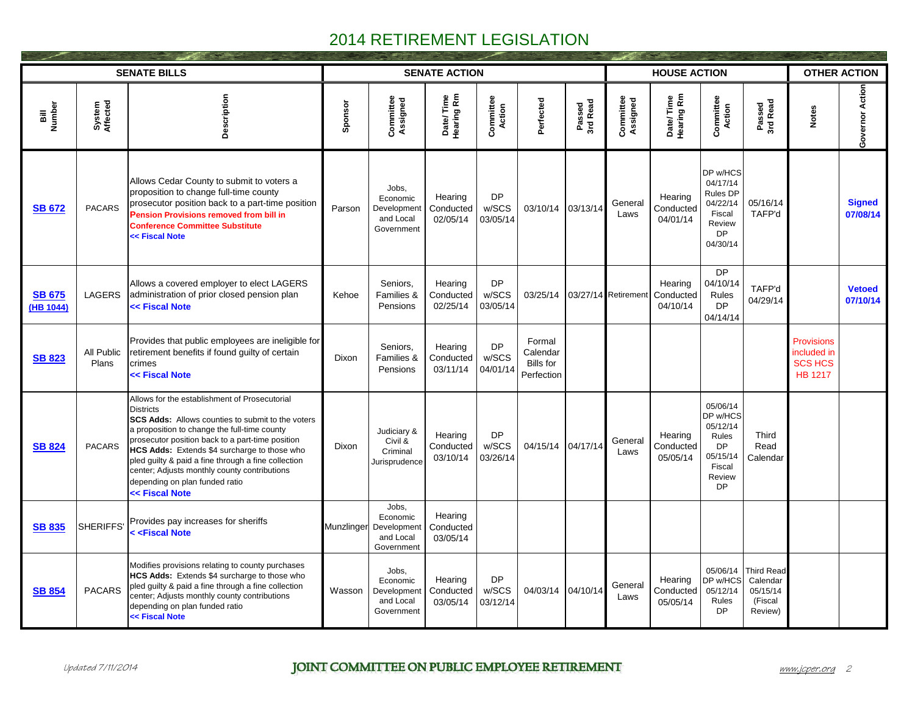|                            |                     | <b>SENATE BILLS</b>                                                                                                                                                                                                                                                                                                                                                                                                                   |            |                                                             | <b>SENATE ACTION</b>             |                                |                                                      |                    |                              | <b>HOUSE ACTION</b>              |                                                                                                     |                                                                 |                                                                      | <b>OTHER ACTION</b>       |  |  |
|----------------------------|---------------------|---------------------------------------------------------------------------------------------------------------------------------------------------------------------------------------------------------------------------------------------------------------------------------------------------------------------------------------------------------------------------------------------------------------------------------------|------------|-------------------------------------------------------------|----------------------------------|--------------------------------|------------------------------------------------------|--------------------|------------------------------|----------------------------------|-----------------------------------------------------------------------------------------------------|-----------------------------------------------------------------|----------------------------------------------------------------------|---------------------------|--|--|
| Bill<br>Number             | System<br>Affected  | Description                                                                                                                                                                                                                                                                                                                                                                                                                           | Sponsor    | Committee<br>Assigned                                       | Date/Time<br>Hearing Rm          | Committee<br>Action            | Perfected                                            | Passed<br>3rd Read | Committee<br>Assigned        | Date/Time<br>Hearing Rm          | <b>Committee</b><br>Action                                                                          | Passed<br>3rd Read                                              | <b>Notes</b>                                                         | Governor Action           |  |  |
| <b>SB 672</b>              | <b>PACARS</b>       | Allows Cedar County to submit to voters a<br>proposition to change full-time county<br>prosecutor position back to a part-time position<br><b>Pension Provisions removed from bill in</b><br><b>Conference Committee Substitute</b><br><< Fiscal Note                                                                                                                                                                                 | Parson     | Jobs.<br>Economic<br>Development<br>and Local<br>Government | Hearing<br>Conducted<br>02/05/14 | <b>DP</b><br>w/SCS<br>03/05/14 | 03/10/14                                             | 03/13/14           | General<br>Laws              | Hearing<br>Conducted<br>04/01/14 | DP w/HCS<br>04/17/14<br>Rules DP<br>04/22/14<br>Fiscal<br>Review<br><b>DP</b><br>04/30/14           | 05/16/14<br>TAFP'd                                              |                                                                      | <b>Signed</b><br>07/08/14 |  |  |
| <b>SB 675</b><br>(HB 1044) | <b>LAGERS</b>       | Allows a covered employer to elect LAGERS<br>administration of prior closed pension plan<br><< Fiscal Note                                                                                                                                                                                                                                                                                                                            | Kehoe      | Seniors.<br>Families &<br>Pensions                          | Hearing<br>Conducted<br>02/25/14 | <b>DP</b><br>w/SCS<br>03/05/14 |                                                      |                    | 03/25/14 03/27/14 Retirement | Hearing<br>Conducted<br>04/10/14 | <b>DP</b><br>04/10/14<br>Rules<br><b>DP</b><br>04/14/14                                             | TAFP'd<br>04/29/14                                              |                                                                      | <b>Vetoed</b><br>07/10/14 |  |  |
| <b>SB 823</b>              | All Public<br>Plans | Provides that public employees are ineligible for<br>retirement benefits if found guilty of certain<br>crimes<br><< Fiscal Note                                                                                                                                                                                                                                                                                                       | Dixon      | Seniors.<br>Families &<br>Pensions                          | Hearing<br>Conducted<br>03/11/14 | <b>DP</b><br>w/SCS<br>04/01/14 | Formal<br>Calendar<br><b>Bills</b> for<br>Perfection |                    |                              |                                  |                                                                                                     |                                                                 | <b>Provisions</b><br>included in<br><b>SCS HCS</b><br><b>HB 1217</b> |                           |  |  |
| <b>SB 824</b>              | <b>PACARS</b>       | Allows for the establishment of Prosecutorial<br><b>Districts</b><br>SCS Adds: Allows counties to submit to the voters<br>a proposition to change the full-time county<br>prosecutor position back to a part-time position<br>HCS Adds: Extends \$4 surcharge to those who<br>pled guilty & paid a fine through a fine collection<br>center; Adjusts monthly county contributions<br>depending on plan funded ratio<br><< Fiscal Note | Dixon      | Judiciary &<br>Civil &<br>Criminal<br>Jurisprudence         | Hearing<br>Conducted<br>03/10/14 | <b>DP</b><br>w/SCS<br>03/26/14 | 04/15/14 04/17/14                                    |                    | General<br>Laws              | Hearing<br>Conducted<br>05/05/14 | 05/06/14<br>DP w/HCS<br>05/12/14<br>Rules<br><b>DP</b><br>05/15/14<br>Fiscal<br>Review<br><b>DP</b> | Third<br>Read<br>Calendar                                       |                                                                      |                           |  |  |
| <b>SB 835</b>              | <b>SHERIFFS</b>     | Provides pay increases for sheriffs<br>< <fiscal note<="" td=""><td>Munzlinger</td><td>Jobs,<br/>Economic<br/>Development<br/>and Local<br/>Government</td><td>Hearing<br/>Conducted<br/>03/05/14</td><td></td><td></td><td></td><td></td><td></td><td></td><td></td><td></td><td></td></fiscal>                                                                                                                                      | Munzlinger | Jobs,<br>Economic<br>Development<br>and Local<br>Government | Hearing<br>Conducted<br>03/05/14 |                                |                                                      |                    |                              |                                  |                                                                                                     |                                                                 |                                                                      |                           |  |  |
| <b>SB 854</b>              | <b>PACARS</b>       | Modifies provisions relating to county purchases<br>HCS Adds: Extends \$4 surcharge to those who<br>pled guilty & paid a fine through a fine collection<br>center; Adjusts monthly county contributions<br>depending on plan funded ratio<br><< Fiscal Note                                                                                                                                                                           | Wasson     | Jobs,<br>Economic<br>Development<br>and Local<br>Government | Hearing<br>Conducted<br>03/05/14 | <b>DP</b><br>w/SCS<br>03/12/14 | 04/03/14 04/10/14                                    |                    | General<br>Laws              | Hearing<br>Conducted<br>05/05/14 | 05/06/14<br>DP w/HCS<br>05/12/14<br>Rules<br><b>DP</b>                                              | <b>Third Read</b><br>Calendar<br>05/15/14<br>(Fiscal<br>Review) |                                                                      |                           |  |  |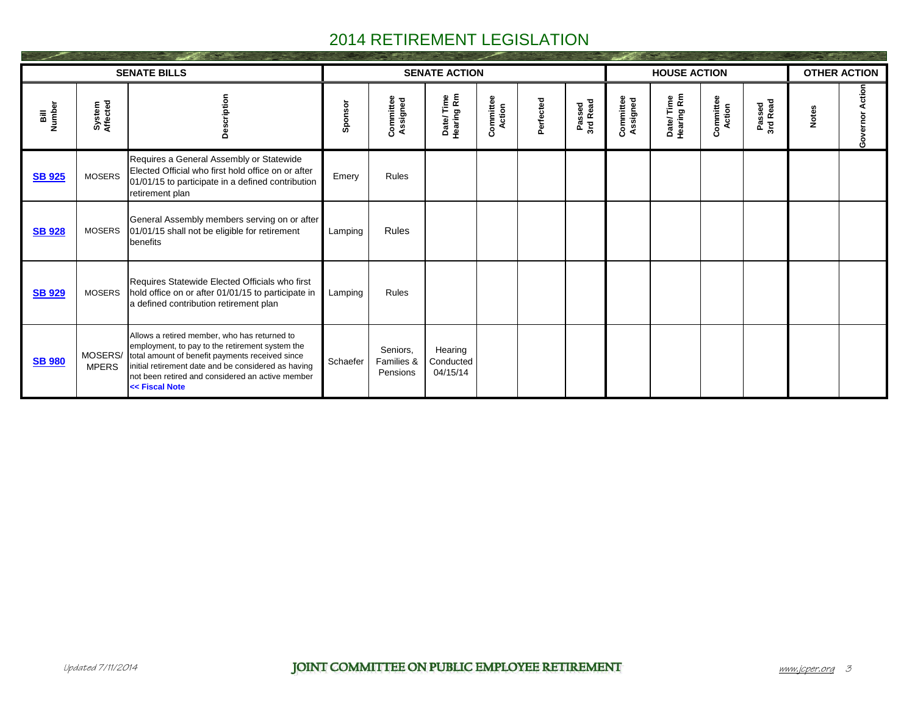|                |                         | <b>SENATE BILLS</b>                                                                                                                                                                                                                                                             |          |                                    | <b>SENATE ACTION</b>             |                     |           |                    |                       | <b>HOUSE ACTION</b>     |                     |                    |              | <b>OTHER ACTION</b> |  |  |
|----------------|-------------------------|---------------------------------------------------------------------------------------------------------------------------------------------------------------------------------------------------------------------------------------------------------------------------------|----------|------------------------------------|----------------------------------|---------------------|-----------|--------------------|-----------------------|-------------------------|---------------------|--------------------|--------------|---------------------|--|--|
| Bill<br>Number | System<br>Affected      | Description                                                                                                                                                                                                                                                                     | Sponsor  | Committee<br>Assigned              | Date/Time<br>Hearing Rm          | Committee<br>Action | Perfected | Passed<br>3rd Read | Committee<br>Assigned | Date/Time<br>Hearing Rm | Committee<br>Action | Passed<br>3rd Read | <b>Notes</b> | Governor Action     |  |  |
| <b>SB 925</b>  | <b>MOSERS</b>           | Requires a General Assembly or Statewide<br>Elected Official who first hold office on or after<br>01/01/15 to participate in a defined contribution<br>retirement plan                                                                                                          | Emery    | <b>Rules</b>                       |                                  |                     |           |                    |                       |                         |                     |                    |              |                     |  |  |
| <b>SB 928</b>  | <b>MOSERS</b>           | General Assembly members serving on or after<br>01/01/15 shall not be eligible for retirement<br>benefits                                                                                                                                                                       | Lamping  | <b>Rules</b>                       |                                  |                     |           |                    |                       |                         |                     |                    |              |                     |  |  |
| <b>SB 929</b>  | MOSERS                  | Requires Statewide Elected Officials who first<br>hold office on or after 01/01/15 to participate in<br>a defined contribution retirement plan                                                                                                                                  | Lamping  | Rules                              |                                  |                     |           |                    |                       |                         |                     |                    |              |                     |  |  |
| <b>SB 980</b>  | MOSERS/<br><b>MPERS</b> | Allows a retired member, who has returned to<br>employment, to pay to the retirement system the<br>total amount of benefit payments received since<br>initial retirement date and be considered as having<br>not been retired and considered an active member<br><< Fiscal Note | Schaefer | Seniors,<br>Families &<br>Pensions | Hearing<br>Conducted<br>04/15/14 |                     |           |                    |                       |                         |                     |                    |              |                     |  |  |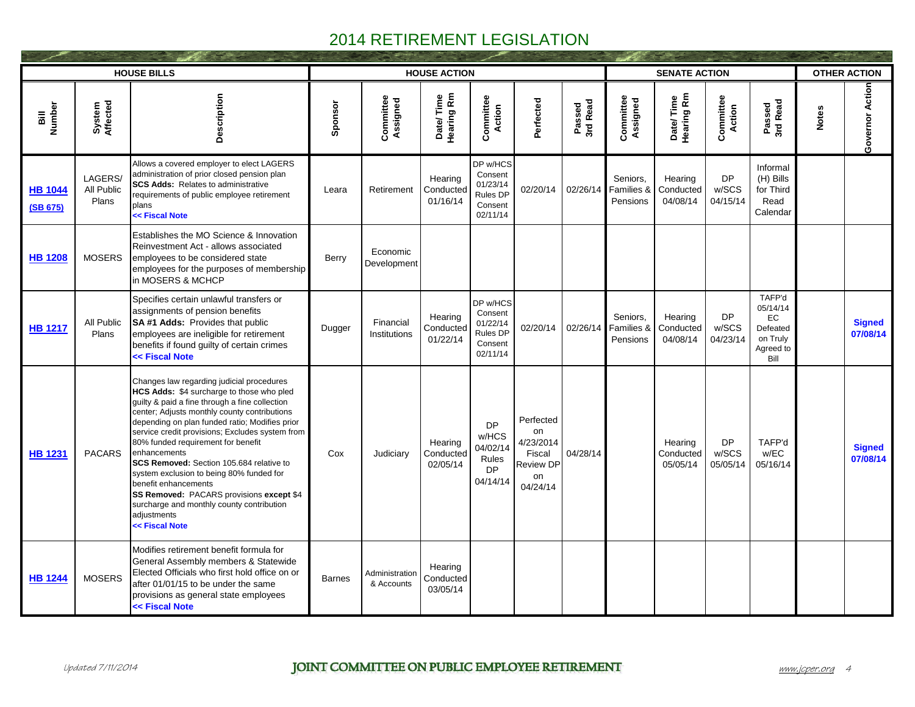|                            |                                | <b>HOUSE BILLS</b>                                                                                                                                                                                                                                                                                                                                                                                                                                                                                                                                                                            |               |                              | <b>HOUSE ACTION</b>              |                                                                           |                                                                              |                    |                                    | <b>SENATE ACTION</b>             |                                |                                                                              |              | <b>OTHER ACTION</b>       |  |  |
|----------------------------|--------------------------------|-----------------------------------------------------------------------------------------------------------------------------------------------------------------------------------------------------------------------------------------------------------------------------------------------------------------------------------------------------------------------------------------------------------------------------------------------------------------------------------------------------------------------------------------------------------------------------------------------|---------------|------------------------------|----------------------------------|---------------------------------------------------------------------------|------------------------------------------------------------------------------|--------------------|------------------------------------|----------------------------------|--------------------------------|------------------------------------------------------------------------------|--------------|---------------------------|--|--|
| Bill<br>Number             | System<br>Affected             | Description                                                                                                                                                                                                                                                                                                                                                                                                                                                                                                                                                                                   | Sponsor       | Committee<br>Assigned        | Date/Time<br>Hearing Rm          | <b>Committee</b><br>Action                                                | Perfected                                                                    | Passed<br>3rd Read | Committee<br>Assigned              | Date/Time<br>Hearing Rm          | <b>Committee</b><br>Action     | Passed<br>3rd Read                                                           | <b>Notes</b> | Governor Action           |  |  |
| <b>HB 1044</b><br>(SB 675) | LAGERS/<br>All Public<br>Plans | Allows a covered employer to elect LAGERS<br>administration of prior closed pension plan<br><b>SCS Adds: Relates to administrative</b><br>requirements of public employee retirement<br>plans<br><< Fiscal Note                                                                                                                                                                                                                                                                                                                                                                               | Leara         | Retirement                   | Hearing<br>Conducted<br>01/16/14 | DP w/HCS<br>Consent<br>01/23/14<br><b>Rules DP</b><br>Consent<br>02/11/14 | 02/20/14                                                                     | 02/26/14           | Seniors,<br>Families &<br>Pensions | Hearing<br>Conducted<br>04/08/14 | <b>DP</b><br>w/SCS<br>04/15/14 | Informal<br>(H) Bills<br>for Third<br>Read<br>Calendar                       |              |                           |  |  |
| <b>HB 1208</b>             | <b>MOSERS</b>                  | Establishes the MO Science & Innovation<br>Reinvestment Act - allows associated<br>employees to be considered state<br>employees for the purposes of membership<br>in MOSERS & MCHCP                                                                                                                                                                                                                                                                                                                                                                                                          | Berry         | Economic<br>Development      |                                  |                                                                           |                                                                              |                    |                                    |                                  |                                |                                                                              |              |                           |  |  |
| <b>HB 1217</b>             | All Public<br>Plans            | Specifies certain unlawful transfers or<br>assignments of pension benefits<br><b>SA#1 Adds: Provides that public</b><br>employees are ineligible for retirement<br>benefits if found guilty of certain crimes<br><< Fiscal Note                                                                                                                                                                                                                                                                                                                                                               | Dugger        | Financial<br>Institutions    | Hearing<br>Conducted<br>01/22/14 | DP w/HCS<br>Consent<br>01/22/14<br><b>Rules DP</b><br>Consent<br>02/11/14 | 02/20/14                                                                     | 02/26/14           | Seniors,<br>Families &<br>Pensions | Hearing<br>Conducted<br>04/08/14 | <b>DP</b><br>w/SCS<br>04/23/14 | TAFP'd<br>05/14/14<br><b>EC</b><br>Defeated<br>on Truly<br>Agreed to<br>Bill |              | <b>Signed</b><br>07/08/14 |  |  |
| <b>HB 1231</b>             | <b>PACARS</b>                  | Changes law regarding judicial procedures<br>HCS Adds: \$4 surcharge to those who pled<br>guilty & paid a fine through a fine collection<br>center; Adjusts monthly county contributions<br>depending on plan funded ratio; Modifies prior<br>service credit provisions; Excludes system from<br>80% funded requirement for benefit<br>enhancements<br>SCS Removed: Section 105.684 relative to<br>system exclusion to being 80% funded for<br>benefit enhancements<br>SS Removed: PACARS provisions except \$4<br>surcharge and monthly county contribution<br>adjustments<br><< Fiscal Note | Cox           | Judiciary                    | Hearing<br>Conducted<br>02/05/14 | <b>DP</b><br>w/HCS<br>04/02/14<br>Rules<br><b>DP</b><br>04/14/14          | Perfected<br>on<br>4/23/2014<br>Fiscal<br><b>Review DP</b><br>on<br>04/24/14 | 04/28/14           |                                    | Hearing<br>Conducted<br>05/05/14 | <b>DP</b><br>w/SCS<br>05/05/14 | TAFP'd<br>w/EC<br>05/16/14                                                   |              | <b>Signed</b><br>07/08/14 |  |  |
| <b>HB 1244</b>             | <b>MOSERS</b>                  | Modifies retirement benefit formula for<br>General Assembly members & Statewide<br>Elected Officials who first hold office on or<br>after 01/01/15 to be under the same<br>provisions as general state employees<br><< Fiscal Note                                                                                                                                                                                                                                                                                                                                                            | <b>Barnes</b> | Administration<br>& Accounts | Hearing<br>Conducted<br>03/05/14 |                                                                           |                                                                              |                    |                                    |                                  |                                |                                                                              |              |                           |  |  |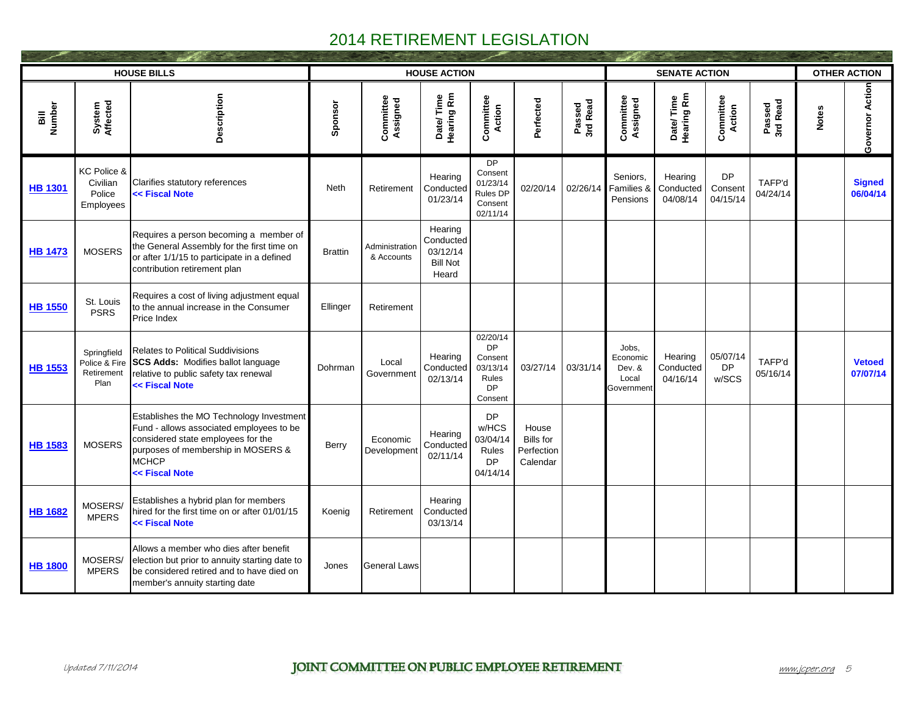|                                   |                                                    | <b>HOUSE BILLS</b>                                                                                                                                                                          |                |                              | <b>HOUSE ACTION</b>                                          |                                                                               |                                                     |                    |                                                           | <b>SENATE ACTION</b>             |                                  |                    |              | <b>OTHER ACTION</b>       |  |  |
|-----------------------------------|----------------------------------------------------|---------------------------------------------------------------------------------------------------------------------------------------------------------------------------------------------|----------------|------------------------------|--------------------------------------------------------------|-------------------------------------------------------------------------------|-----------------------------------------------------|--------------------|-----------------------------------------------------------|----------------------------------|----------------------------------|--------------------|--------------|---------------------------|--|--|
| Number<br>$\overline{\mathbf{s}}$ | System<br>Affected                                 | Description                                                                                                                                                                                 | Sponsor        | Committee<br>Assigned        | Date/Time<br>Hearing Rm                                      | <b>Committee</b><br>Action                                                    | Perfected                                           | Passed<br>3rd Read | Committee<br>Assigned                                     | Date/Time<br>Hearing Rm          | <b>Committee</b><br>Action       | Passed<br>3rd Read | <b>Notes</b> | Governor Action           |  |  |
| <b>HB 1301</b>                    | KC Police &<br>Civilian<br>Police<br>Employees     | Clarifies statutory references<br><< Fiscal Note                                                                                                                                            | <b>Neth</b>    | Retirement                   | Hearing<br>Conducted<br>01/23/14                             | <b>DP</b><br>Consent<br>01/23/14<br>Rules DP<br>Consent<br>02/11/14           | 02/20/14                                            | 02/26/14           | Seniors,<br>Families &<br>Pensions                        | Hearing<br>Conducted<br>04/08/14 | <b>DP</b><br>Consent<br>04/15/14 | TAFP'd<br>04/24/14 |              | <b>Signed</b><br>06/04/14 |  |  |
| <b>HB 1473</b>                    | <b>MOSERS</b>                                      | Requires a person becoming a member of<br>the General Assembly for the first time on<br>or after 1/1/15 to participate in a defined<br>contribution retirement plan                         | <b>Brattin</b> | Administration<br>& Accounts | Hearing<br>Conducted<br>03/12/14<br><b>Bill Not</b><br>Heard |                                                                               |                                                     |                    |                                                           |                                  |                                  |                    |              |                           |  |  |
| <b>HB 1550</b>                    | St. Louis<br><b>PSRS</b>                           | Requires a cost of living adjustment equal<br>to the annual increase in the Consumer<br>Price Index                                                                                         | Ellinger       | Retirement                   |                                                              |                                                                               |                                                     |                    |                                                           |                                  |                                  |                    |              |                           |  |  |
| <b>HB 1553</b>                    | Springfield<br>Police & Fire<br>Retirement<br>Plan | <b>Relates to Political Suddivisions</b><br><b>SCS Adds: Modifies ballot language</b><br>relative to public safety tax renewal<br><< Fiscal Note                                            | Dohrman        | Local<br>Government          | Hearing<br>Conducted<br>02/13/14                             | 02/20/14<br><b>DP</b><br>Consent<br>03/13/14<br>Rules<br><b>DP</b><br>Consent | 03/27/14                                            | 03/31/14           | Jobs,<br>Economic<br>Dev. &<br>Local<br><b>Government</b> | Hearing<br>Conducted<br>04/16/14 | 05/07/14<br><b>DP</b><br>w/SCS   | TAFP'd<br>05/16/14 |              | <b>Vetoed</b><br>07/07/14 |  |  |
| <b>HB 1583</b>                    | <b>MOSERS</b>                                      | Establishes the MO Technology Investment<br>Fund - allows associated employees to be<br>considered state employees for the<br>purposes of membership in MOSERS &<br>MCHCP<br><< Fiscal Note | Berry          | Economic<br>Development      | Hearing<br>Conducted<br>02/11/14                             | <b>DP</b><br>w/HCS<br>03/04/14<br>Rules<br><b>DP</b><br>04/14/14              | House<br><b>Bills</b> for<br>Perfection<br>Calendar |                    |                                                           |                                  |                                  |                    |              |                           |  |  |
| <b>HB 1682</b>                    | MOSERS/<br><b>MPERS</b>                            | Establishes a hybrid plan for members<br>hired for the first time on or after 01/01/15<br><< Fiscal Note                                                                                    | Koenig         | Retirement                   | Hearing<br>Conducted<br>03/13/14                             |                                                                               |                                                     |                    |                                                           |                                  |                                  |                    |              |                           |  |  |
| <b>HB 1800</b>                    | MOSERS/<br><b>MPERS</b>                            | Allows a member who dies after benefit<br>election but prior to annuity starting date to<br>be considered retired and to have died on<br>member's annuity starting date                     | Jones          | <b>General Laws</b>          |                                                              |                                                                               |                                                     |                    |                                                           |                                  |                                  |                    |              |                           |  |  |